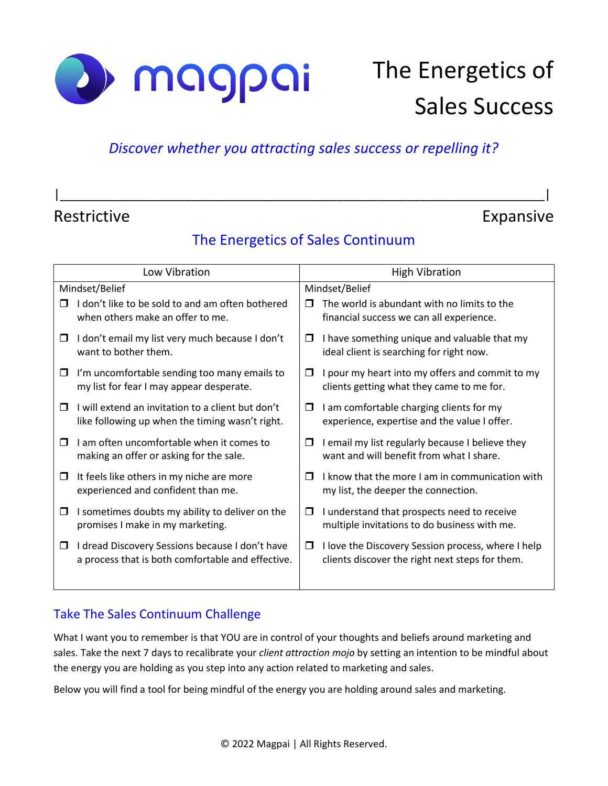

# The Energetics of Sales Success

#### *Discover whether you attracting sales success or repelling it?*

# Restrictive **Expansive** Expansive

### The Energetics of Sales Continuum

|\_\_\_\_\_\_\_\_\_\_\_\_\_\_\_\_\_\_\_\_\_\_\_\_\_\_\_\_\_\_\_\_\_\_\_\_\_\_\_\_\_\_\_\_\_\_\_\_\_\_\_\_\_\_\_\_\_\_\_\_\_\_\_\_\_\_\_\_\_\_|

| Low Vibration                                                                             | <b>High Vibration</b>                                                                   |  |
|-------------------------------------------------------------------------------------------|-----------------------------------------------------------------------------------------|--|
| Mindset/Belief                                                                            | Mindset/Belief                                                                          |  |
| I don't like to be sold to and am often bothered<br>П<br>when others make an offer to me. | The world is abundant with no limits to the<br>financial success we can all experience. |  |
| I don't email my list very much because I don't                                           | I have something unique and valuable that my                                            |  |
| □                                                                                         | $\Box$                                                                                  |  |
| want to bother them.                                                                      | ideal client is searching for right now.                                                |  |
| I'm uncomfortable sending too many emails to                                              | I pour my heart into my offers and commit to my                                         |  |
| □                                                                                         | □                                                                                       |  |
| my list for fear I may appear desperate.                                                  | clients getting what they came to me for.                                               |  |
| I will extend an invitation to a client but don't                                         | I am comfortable charging clients for my                                                |  |
| □                                                                                         | □                                                                                       |  |
| like following up when the timing wasn't right.                                           | experience, expertise and the value I offer.                                            |  |
| I am often uncomfortable when it comes to                                                 | I email my list regularly because I believe they                                        |  |
| □                                                                                         | $\Box$                                                                                  |  |
| making an offer or asking for the sale.                                                   | want and will benefit from what I share.                                                |  |
| It feels like others in my niche are more                                                 | I know that the more I am in communication with                                         |  |
| □                                                                                         | $\Box$                                                                                  |  |
| experienced and confident than me.                                                        | my list, the deeper the connection.                                                     |  |
| I sometimes doubts my ability to deliver on the                                           | I understand that prospects need to receive                                             |  |
| □                                                                                         | $\Box$                                                                                  |  |
| promises I make in my marketing.                                                          | multiple invitations to do business with me.                                            |  |
| I dread Discovery Sessions because I don't have                                           | I love the Discovery Session process, where I help                                      |  |
| $\Box$                                                                                    | $\Box$                                                                                  |  |
| a process that is both comfortable and effective.                                         | clients discover the right next steps for them.                                         |  |
|                                                                                           |                                                                                         |  |

#### Take The Sales Continuum Challenge

What I want you to remember is that YOU are in control of your thoughts and beliefs around marketing and sales. Take the next 7 days to recalibrate your *client attraction mojo* by setting an intention to be mindful about the energy you are holding as you step into any action related to marketing and sales.

Below you will find a tool for being mindful of the energy you are holding around sales and marketing.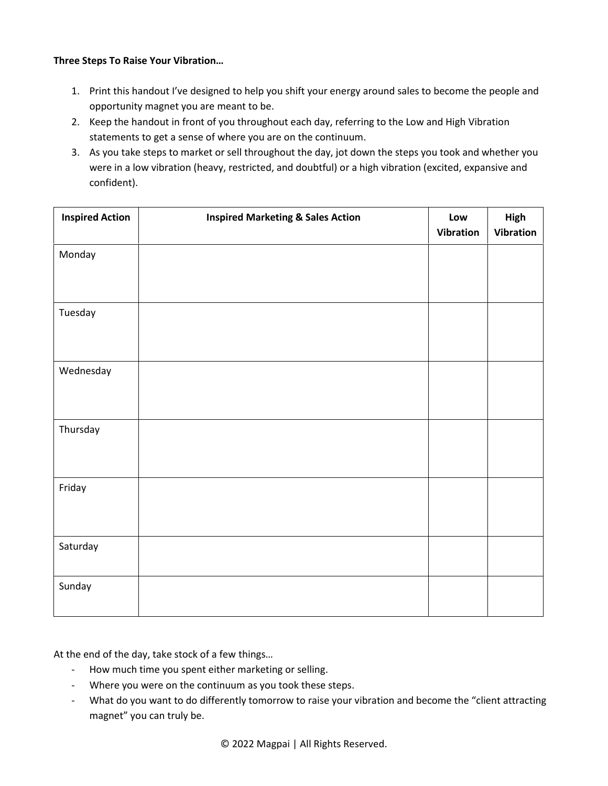#### **Three Steps To Raise Your Vibration…**

- 1. Print this handout I've designed to help you shift your energy around sales to become the people and opportunity magnet you are meant to be.
- 2. Keep the handout in front of you throughout each day, referring to the Low and High Vibration statements to get a sense of where you are on the continuum.
- 3. As you take steps to market or sell throughout the day, jot down the steps you took and whether you were in a low vibration (heavy, restricted, and doubtful) or a high vibration (excited, expansive and confident).

| <b>Inspired Action</b> | <b>Inspired Marketing &amp; Sales Action</b> | Low<br><b>Vibration</b> | High<br>Vibration |
|------------------------|----------------------------------------------|-------------------------|-------------------|
| Monday                 |                                              |                         |                   |
| Tuesday                |                                              |                         |                   |
| Wednesday              |                                              |                         |                   |
| Thursday               |                                              |                         |                   |
| Friday                 |                                              |                         |                   |
| Saturday               |                                              |                         |                   |
| Sunday                 |                                              |                         |                   |

At the end of the day, take stock of a few things…

- How much time you spent either marketing or selling.
- Where you were on the continuum as you took these steps.
- What do you want to do differently tomorrow to raise your vibration and become the "client attracting magnet" you can truly be.